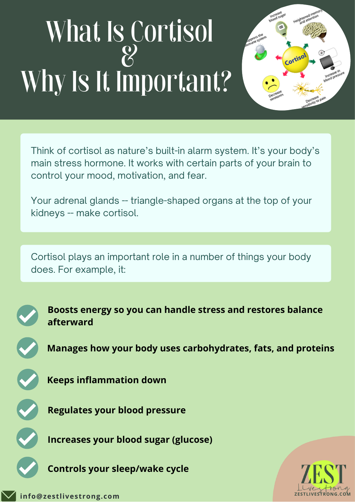## What Is Cortisol & Why Is It Important?



Think of [cortisol](https://www.webmd.com/a-to-z-guides/cortisol-14668) as nature's built-in alarm system. It's your body's main stress [hormone.](https://www.webmd.com/women/features/escape-hormone-horrors-what-you-can-do) It works with certain parts of your [brain](https://www.webmd.com/brain/picture-of-the-brain) to control your mood, motivation, and fear.

Your [adrenal](https://www.webmd.com/kidney-stones/adrenal-glands) glands -- triangle-shaped organs at the top of your [kidneys](https://www.webmd.com/urinary-incontinence-oab/picture-of-the-kidneys) -- make cortisol.

Cortisol plays an important role in a number of things your body does. For example, it:



**Boosts energy so you can handle stress and restores balance afterward**

**Manages how your body uses carbohydrates, fats, and proteins**

**Keeps [inflammation](https://www.webmd.com/arthritis/about-inflammation) down**

**Regulates your blood [pressure](https://www.webmd.com/hypertension-high-blood-pressure/guide/diastolic-and-systolic-blood-pressure-know-your-numbers)**

**Increases your [blood](https://www.webmd.com/diabetes/guide/blood-glucose) sugar (glucose)**

**Controls your [sleep](https://www.webmd.com/sleep-disorders/default.htm)/wake cycle**

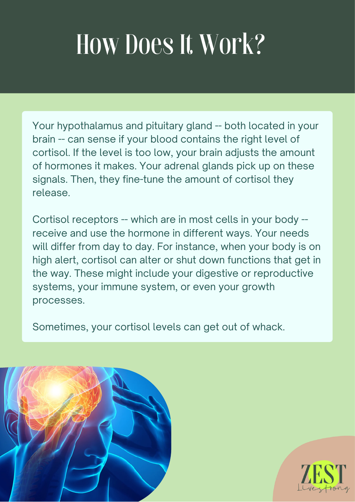## How Does It Work?

Your [hypothalamus](https://www.webmd.com/a-to-z-guides/hypopituitary) and pituitary gland -- both located in your [brain](https://www.webmd.com/brain/ss/slideshow-concussions-brain-injuries) -- can sense if your [blood](https://www.webmd.com/heart/anatomy-picture-of-blood) contains the right level of cortisol. If the level is too low, your [brain](https://www.webmd.com/brain/rm-quiz-amazing-brain) adjusts the amount of hormones it makes. Your adrenal glands pick up on these signals. Then, they fine-tune the amount of cortisol they release.

Cortisol receptors -- which are in most cells in your body - receive and use the hormone in different ways. Your needs will differ from day to day. For instance, when your body is on high alert, cortisol can alter or shut down functions that get in the way. These might include your digestive or reproductive systems, your [immune](https://www.webmd.com/cold-and-flu/cold-guide/10-immune-system-busters-boosters) system, or even your growth processes.

Sometimes, your [cortisol](https://www.webmd.com/drugs/2/drug-8641/cortisone+oral/details) levels can get out of whack.